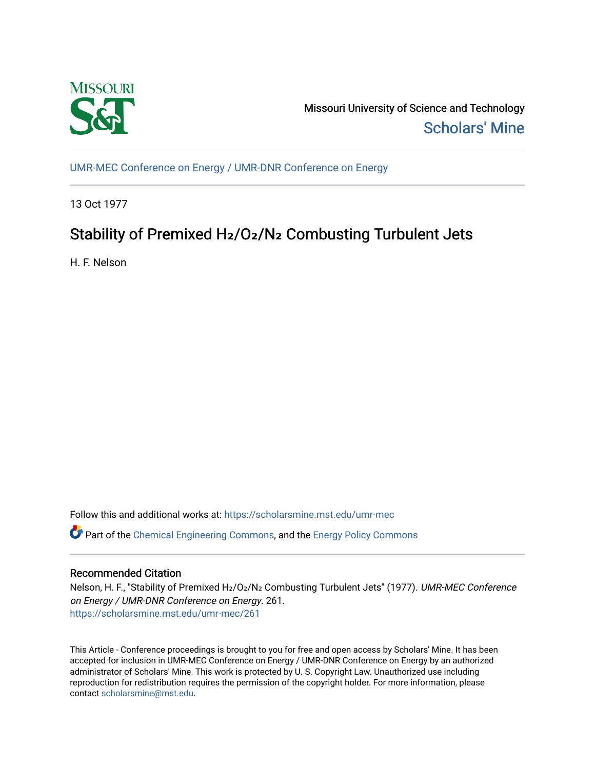

Missouri University of Science and Technology [Scholars' Mine](https://scholarsmine.mst.edu/) 

[UMR-MEC Conference on Energy / UMR-DNR Conference on Energy](https://scholarsmine.mst.edu/umr-mec)

13 Oct 1977

# Stability of Premixed H<sub>2</sub>/O<sub>2</sub>/N<sub>2</sub> Combusting Turbulent Jets

H. F. Nelson

Follow this and additional works at: [https://scholarsmine.mst.edu/umr-mec](https://scholarsmine.mst.edu/umr-mec?utm_source=scholarsmine.mst.edu%2Fumr-mec%2F261&utm_medium=PDF&utm_campaign=PDFCoverPages) 

Part of the [Chemical Engineering Commons](http://network.bepress.com/hgg/discipline/240?utm_source=scholarsmine.mst.edu%2Fumr-mec%2F261&utm_medium=PDF&utm_campaign=PDFCoverPages), and the [Energy Policy Commons](http://network.bepress.com/hgg/discipline/1065?utm_source=scholarsmine.mst.edu%2Fumr-mec%2F261&utm_medium=PDF&utm_campaign=PDFCoverPages)

## Recommended Citation

Nelson, H. F., "Stability of Premixed H2/O2/N2 Combusting Turbulent Jets" (1977). UMR-MEC Conference on Energy / UMR-DNR Conference on Energy. 261. [https://scholarsmine.mst.edu/umr-mec/261](https://scholarsmine.mst.edu/umr-mec/261?utm_source=scholarsmine.mst.edu%2Fumr-mec%2F261&utm_medium=PDF&utm_campaign=PDFCoverPages) 

This Article - Conference proceedings is brought to you for free and open access by Scholars' Mine. It has been accepted for inclusion in UMR-MEC Conference on Energy / UMR-DNR Conference on Energy by an authorized administrator of Scholars' Mine. This work is protected by U. S. Copyright Law. Unauthorized use including reproduction for redistribution requires the permission of the copyright holder. For more information, please contact [scholarsmine@mst.edu](mailto:scholarsmine@mst.edu).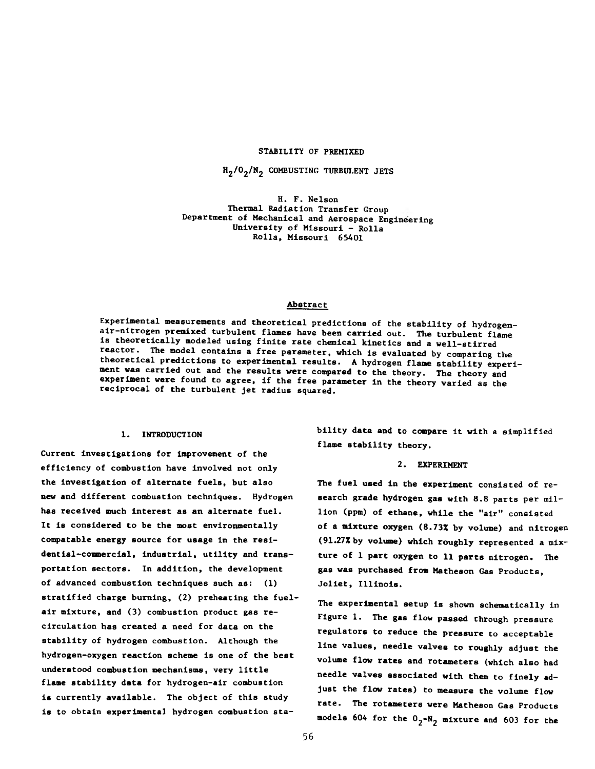#### STABILITY OF PREMIXED

 $H_2/O_2/N_2$  COMBUSTING TURBULENT JETS

H. F. Nelson Thermal Radiation Transfer Group Department of Mechanical and Aerospace Engineering University of Missouri - Rolla Rolla, Missouri 65401

## Abstract

Experimental measurements and theoretical predictions of the stability of hydrogenair -nitrogen premixed turbulent flames have been carried out. The turbulent flame is theoretically modeled using finite rate chemical kinetics and a well-stirred reactor. The model contains a free parameter, which is evaluated by comparing the theoretical predictions to experimental results. A hydrogen flame stability experiment was carried out and the results were compared to the theory. The theory and experiment were found to agree, if the free parameter in the theory varied as the reciprocal of the turbulent jet radius squared.

## 1. INTRODUCTION

Current investigations for improvement of the efficiency of combustion have involved not only the Investigation of alternate fuels, but also new and different combustion techniques. Hydrogen has received much interest as an alternate fuel. It is considered to be the most environmentally compatable energy source for usage in the residential-commercial, industrial, utility and transportation sectors. In addition, the development of advanced combustion techniques such as: (1) stratified charge burning, (2) preheating the fuelair mixture, and (3) combustion product gas recirculation has created a need for data on the stability of hydrogen combustion. Although the hydrogen-oxygen reaction scheme is one of the best understood combustion mechanisms, very little flame stability data for hydrogen-air combustion is currently available. The object of this study is to obtain experimental hydrogen combustion stability data and to compare it with a simplified flame stability theory.

## 2. EXPERIMENT

The fuel used in the experiment consisted of research grade hydrogen gas with 8.8 parts per million (ppm) of ethane, while the "air" consisted of a mixture oxygen (8.73% by volume) and nitrogen (91.27% by volume) which roughly represented a mixture of 1 part oxygen to 11 parts nitrogen. The gas was purchased from Matheson Gas Products, Joliet, Illinois.

The experimental setup is shown schematically in Figure 1. The gas flow passed through pressure regulators to reduce the pressure to acceptable line values, needle valves to roughly adjust the volume flow rates and rotameters (which also had needle valves associated with them to finely adjust the flow rates) to measure the volume flow rate. The rotameters were Matheson Gas Products models 604 for the  $0<sub>2</sub>$ -N<sub>2</sub> mixture and 603 for the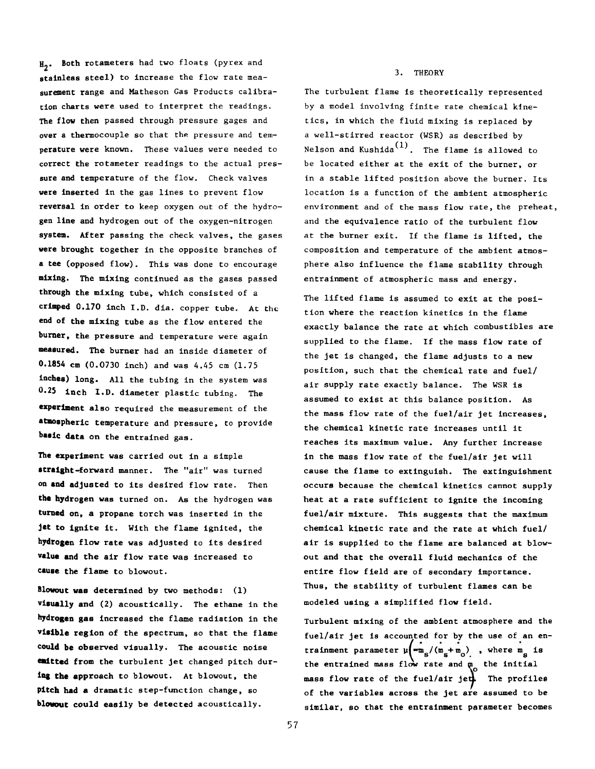*#<sup>2</sup> \** Both rotameters had two floats (pyrex and stainless steel) to increase the flow rate measurement range and Matheson Gas Products calibration charts were used to interpret the readings. The flow then passed through pressure gages and over a thermocouple so that the pressure and temperature were known. These values were needed to correct the rotameter readings to the actual pressure and temperature of the flow. Check valves were inserted in the gas lines to prevent flow reversal in order to keep oxygen out of the hydrogen line and hydrogen out of the oxygen-nitrogen system. After passing the check valves, the gases were brought together in the opposite branches of a tee (opposed flow). This was done to encourage mixing. The mixing continued as the gases passed through the mixing tube, which consisted of a crimped 0.170 inch I.D. dia. copper tube. At the end of the mixing tube as the flow entered the **burner,** the pressure and temperature were again **measured.** The burner had an inside diameter of 0.1854 **cm** (0.0730 inch) and was 4.45 cm (1.75 **Inches)** long. All the tubing in the system was 0.25 inch I.D. diameter plastic tubing. The **experiment** also required the measurement of the **atmospheric** temperature and pressure, to provide **basic data** on the entrained gas.

**The experiment** was carried out in a simple **straight**-forward manner. The "air" was turned on **and adjusted** to its desired flow rate. Then **the hydrogen** was turned on. As the hydrogen was **turned on,** a propane torch was inserted in the **Jet to ignite** it. With the flame ignited, the **hydrogen** flow rate was adjusted to its desired **value and the** air flow rate was increased to **cause the** flame to blowout.

**Blowout was** determined by two methods: (1) **visually** and (2) acoustically. The ethane in the **hydrogen gas** increased the flame radiation in the **visible region** of the spectrum, so that the flame **could be observed** visually. The acoustic noise **ealtted from** the turbulent jet changed pitch dur**ing the approach** to blowout. At blowout, the **Pitch had a** dramatic step-function change, so **blowout could** easily be detected acoustically.

#### 3. THEORY

The turbulent flame is theoretically represented by a model involving finite rate chemical kinetics, in which the fluid mixing is replaced by a well-stirred reactor (WSR) as described by Nelson and Kushida $\overset{(1)}{\ldots}$  . The flame is allowed to be located either at the exit of the burner, or in a stable lifted position above the burner. Its location is a function of the ambient atmospheric environment and of the mass flow rate, the preheat, and the equivalence ratio of the turbulent flow at the burner exit. If the flame is lifted, the composition and temperature of the ambient atmosphere also influence the flame stability through entrainment of atmospheric mass and energy.

The lifted flame is assumed to exit at the position where the reaction kinetics in the flame exactly balance the rate at which combustibles are supplied to the flame. If the mass flow rate of the jet is changed, the flame adjusts to a new position, such that the chemical rate and fuel/ air supply rate exactly balance. The WSR is assumed to exist at this balance position. As the mass flow rate of the fuel/air jet increases, the chemical kinetic rate increases until it reaches its maximum value. Any further increase in the mass flow rate of the fuel/air jet will cause the flame to extinguish. The extinguishment occurs because the chemical kinetics cannot supply heat at a rate sufficient to ignite the incoming fuel/air mixture. This suggests that the maximum chemical kinetic rate and the rate at which fuel/ air is supplied to the flame are balanced at blowout and that the overall fluid mechanics of the entire flow field are of secondary importance. Thus, the stability of turbulent flames can be modeled using a simplified flow field.

Turbulent mixing of the ambient atmosphere and the fuel/air jet is accounted for by the use of an entrainment parameter  $\mu$  $\left(\frac{m_{\rm m}}{s}/(\frac{m_{\rm s}+m_{\rm o}}{s})\right)$  , where  $m_{\rm g}$  is the entrained mass flow rate and m<sub>o</sub> the initial mass flow rate of the fuel/air jet. The profiles of the variables across the jet are assumed to be similar, so that the entrainment parameter becomes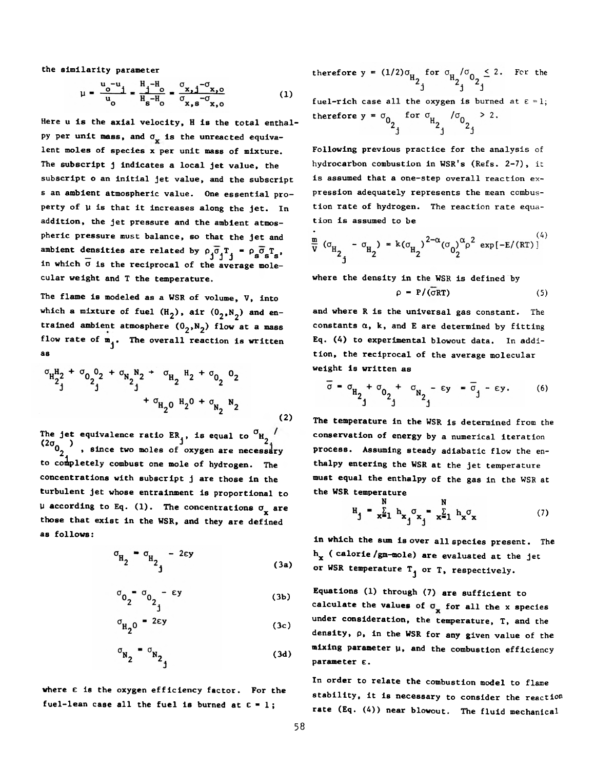the similarity parameter

$$
\mu = \frac{u_0 - u_1}{u_0} = \frac{H_1 - H_0}{H_8 - H_0} = \frac{\sigma_{x,1} - \sigma_{x,0}}{\sigma_{x,8} - \sigma_{x,0}}
$$
(1)

Here u is the axial velocity, H is the total enthalpy per unit mass, and  $\sigma_x$  is the unreacted equivalent moles of species x per unit mass of mixture. The subscript j indicates a local jet value, the subscript o an initial jet value, and the subscript s an ambient atmospheric value. One essential property of  $\mu$  is that it increases along the jet. In addition, the jet pressure and the ambient atmospheric pressure must balance, so that the jet and ambient densities are related by  $\rho_j \sigma_j T = \rho_j \sigma_s T_s$ , in which  $\overline{\sigma}$  is the reciprocal of the average molecular weight and T the temperature.

The flame is modeled as a WSR of volume, V, into which a mixture of fuel  $(H_2)$ , air  $(0_2, N_2)$  and entrained ambient atmosphere  $(0_2,N_2)$  flow at a mass flow rate of  $m_{\tilde{1}}$ . The overall reaction is written as

$$
\sigma_{H_{2}^{1}}^{1} + \sigma_{0}^{0}^{0} + \sigma_{N_{2}^{1}}^{N_{2}} + \sigma_{H_{2}^{1}}^{1} + \sigma_{0}^{0}^{0}
$$
  
+ 
$$
\sigma_{H_{2}^{0}}^{1} + \sigma_{N_{2}^{1}}^{0} + \sigma_{N_{2}^{1}}^{0}
$$
 (2)

The jet equivalence ratio ER,, is equal to  $^{\circ}$ H  $(2\sigma_0$ , since two moles of oxygen are necessary to completely combust one mole of hydrogen. The concentrations with subscript j are those in the turbulent jet whose entrainment is proportional to  $\mu$  according to Eq. (1). The concentrations  $\sigma_{\bf x}$  are those that exist in the WSR, and they are defined as follows:

$$
\sigma_{\rm H_2} = \sigma_{\rm H_2} - 2\epsilon y \tag{3a}
$$

$$
\sigma_{0} = \sigma_{0} - \epsilon y \tag{3b}
$$

$$
\sigma_{\rm H_2O} = 2\epsilon y \tag{3c}
$$

$$
\sigma_{\mathbf{N}_2} = \sigma_{\mathbf{N}_2}
$$
 (3d)

where  $\varepsilon$  is the oxygen efficiency factor. For the fuel-lean case all the fuel is burned at  $E = 1$ ;

therefore  $y = (1/2) \sigma_{\text{tr}}$  for  $\sigma_{\text{tr}} / \sigma_{\text{o}} \leq 2$ . For the

fuel-rich case all the oxygen is burned at  $\varepsilon = 1$ ; therefore  $y = \sigma_0$  for  $\sigma_{H_2}$  / $\sigma_0$  > 2.

Following previous practice for the analysis **of** hydrocarbon combustion in WSR's (Refs. **2-7), it** is assumed that a one—step overall reaction expression adequately represents the mean combustion rate of hydrogen. The reaction rate equation is assumed to be

$$
\frac{m}{\nu} (G_{H_{2}} - G_{H_{2}}) = k(G_{H_{2}})^{2-\alpha} (G_{0})^{\alpha} \rho^{2} \exp[-E/(RT)]
$$

where the density in the WSR is defined by

$$
\rho = P/(\overline{\sigma}RT) \tag{5}
$$

and where R is the universal gas constant. The constants  $\alpha$ ,  $k$ , and  $E$  are determined by fitting Eq. (A) to experimental blowout data. In addition, the reciprocal of the average molecular weight is written as

$$
\overline{\sigma} = \sigma_{\text{H}_{2} + \sigma_{0}_{2} + \sigma_{\text{N}_{2} - \epsilon y}} = \overline{\sigma}_{j - \epsilon y}.
$$
 (6)

The temperature in the WSR is determined from the conservation of energy by a numerical iteration process. Assuming steady adiabatic flow the enthalpy entering the WSR at the jet temperature must equal the enthalpy of the gas in the WSR at the WSR temperature

$$
H_{j} = x \sum_{i=1}^{N} h_{x} \sigma_{x} = x \sum_{i=1}^{N} h_{x} \sigma_{x}
$$
 (7)

in which the sum is over all species present. The  $h_r$  ( calorie /gm-mole) are evaluated at the jet or WSR temperature  $T_{j}$  or T, respectively.

Equations (1) through (7) are sufficient to calculate the values of  $\sigma_{\mathbf{x}}$  for all the x species under consideration, the temperature, T, and the density, p, in the WSR for any given value of the mixing parameter y, and the combustion efficiency parameter c.

In order to relate the combustion model to flame stability, it is necessary to consider the reaction rate (Eq.  $(4)$ ) near blowout. The fluid mechanical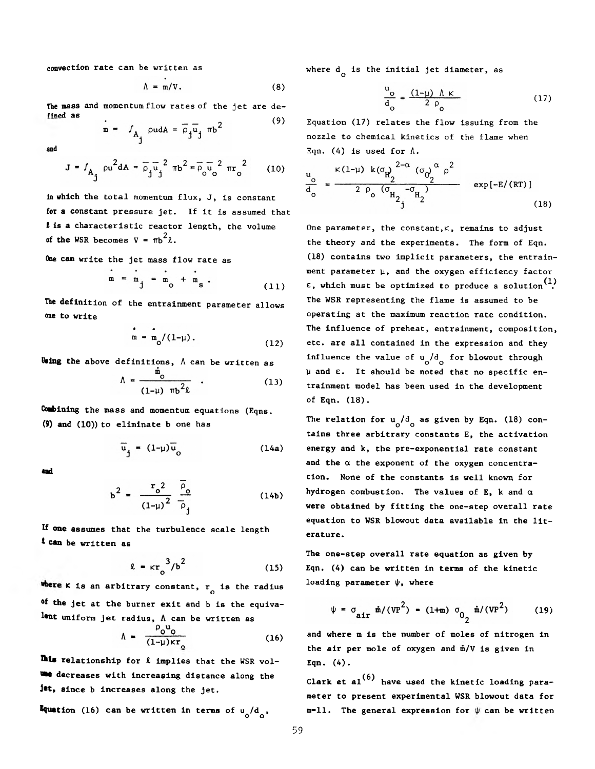convection rate can be written as

$$
\Lambda = m/V. \tag{8}
$$

The mass and momentum flow rates of the jet are de fined as (9)

 $m = f_{A_1} \text{ and } A = \overline{\rho}_j \overline{u}_j \text{ mb}^2$ 

and

$$
J = f_{A_{j}} \rho u^{2} dA = \overline{\rho}_{j} \overline{u}_{j}^{2} \pi b^{2} = \overline{\rho}_{0} \overline{u}_{0}^{2} \pi r_{0}^{2}
$$
 (10)

in which the total momentum flux, J, is constant for a constant pressure jet. If it is assumed that i is a characteristic reactor length, the volume of the WSR becomes  $V = \pi b^2 \ell$ .

One can write the jet mass flow rate as

$$
m = m_j = m_0 + m_s.
$$
 (11)

The definition of the entrainment parameter allows one to write

$$
m = m_0 / (1 - \mu).
$$
 (12)

Using the above definitions,  $\Lambda$  can be written as

$$
\Lambda = \frac{\mathfrak{m}_{\mathfrak{0}}}{(1-\mu)\pi b^2 \ell} \quad . \tag{13}
$$

Combining the mass and momentum equations (Eqns. (9) and (10)) to eliminate b one has

$$
\overline{u}_j = (1-\mu)\overline{u}_o \tag{14a}
$$

«nd

$$
b^{2} = \frac{r_{o}^{2}}{(1-\mu)^{2}} \frac{\bar{\rho}_{o}}{\bar{\rho}_{1}}
$$
 (14b)

If one assumes that the turbulence scale length t can be written as

$$
\ell = \kappa r_0^3/b^2 \tag{15}
$$

**k** is an arbitrary constant,  $r_{\rm o}$  is the radius °f the jet at the burner exit and b is the equivalent uniform jet radius, A can be written as

$$
\Lambda = \frac{\rho_0 u_0}{(1-\mu)\kappa r_0} \tag{16}
$$

Ikia relationship for *i* implies that the WSR vol we decreases with increasing distance along the Jet, since b increases along the jet.

**Equation** (16) can be written in terms of  $u_0/d_0$ ,

where d<sub>o</sub> is the initial jet diameter, as

$$
\frac{u_o}{d_o} = \frac{(1-\mu) \Lambda \kappa}{2 \rho_o} \tag{17}
$$

Equation (17) relates the flow issuing from the nozzle to chemical kinetics of the flame when Eqn. (4) is used for  $\Lambda$ .

$$
\frac{u_o}{d_o} = \frac{\kappa (1-\mu) k (\sigma_{H_2}^2)^{2-\alpha} (\sigma_{O_2}^2)^{\alpha} \rho^2}{2 \rho_o (\sigma_{H_2}^2 - \sigma_{H_2}^2)} \exp[-E/(RT)]
$$
\n(18)

One parameter, the constant, $\kappa$ , remains to adjust the theory and the experiments. The form of Eqn. (18) contains two implicit parameters, the entrainment parameter  $\mu$ , and the oxygen efficiency factor  $\epsilon$ , which must be optimized to produce a solution<sup>(1)</sup> The WSR representing the flame is assumed to be operating at the maximum reaction rate condition. The influence of preheat, entrainment, composition, etc. are all contained in the expression and they influence the value of  $u_0/d$  for blowout through **y** and **e.** It should be noted that no specific entrainment model has been used in the development of Eqn. (18).

The relation for  $u_o/d_o$  as given by Eqn. (18) contains three arbitrary constants E, the activation energy and k, the pre-exponential rate constant and the  $\alpha$  the exponent of the oxygen concentration. None of the constants is well known for hydrogen combustion. The values of E, k and  $\alpha$ were obtained by fitting the one-step overall rate equation to WSR blowout data available in the literature.

The one-step overall rate equation as given by Eqn. (4) can be written in terms of the kinetic loading parameter  $\psi$ , where

$$
\psi = \sigma_{\text{air}} \dot{m} / (VP^2) = (1+m) \sigma_{02} \dot{m} / (VP^2)
$$
 (19)

and where m is the number of moles of nitrogen in the air per mole of oxygen and  $m/V$  is given in Eqn. (4).

Clark et al $^{(6)}$  have used the kinetic loading parameter to present experimental WSR blowout data for  $m=11$ . The general expression for  $\psi$  can be written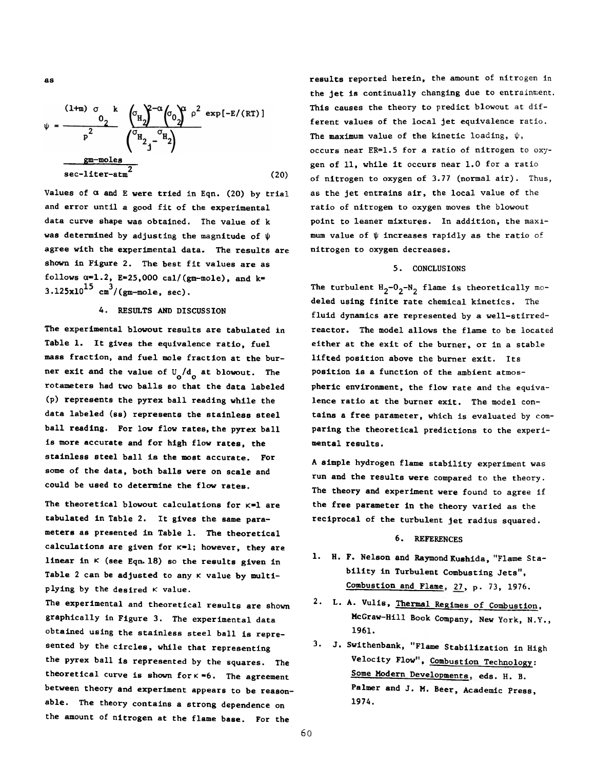$$
\psi = \frac{(1+m) \sigma_{2} k}{p^{2}} \frac{\left(\sigma_{H_{2}}\right)^{2-\alpha} \left(\sigma_{0}\right)^{\alpha} \rho^{2}}{\left(\sigma_{H_{2}}\right)^{-\alpha} \left(\sigma_{2}\right)^{\alpha}} e^{\alpha x p [-E/(RT)]}
$$
\n
$$
\frac{gm-moles}{sec-liter-atm^{2}} \qquad (20)
$$

Values of  $\alpha$  and E were tried in Eqn. (20) by trial and error until a good fit of the experimental data curve shape was obtained. The value of k was determined by adjusting the magnitude of  $\psi$ agree with the experimental data. The results are shown in Figure 2. The best fit values are as follows  $\alpha=1.2$ , E=25,000 cal/(gm-mole), and k=  $3.125x10^{15}$  cm<sup>3</sup>/(gm-mole, sec).

## 4. RESULTS AND DISCUSSION

The experimental blowout results are tabulated in Table 1. It gives the equivalence ratio, fuel mass fraction, and fuel mole fraction at the burner exit and the value of  $U^{\phantom{\dagger}}_{\bf o}/d^{\phantom{\dagger}}_{\bf o}$  at blowout. The rotameters had two balls so that the data labeled (p) represents the pyrex ball reading while the data labeled (ss) represents the stainless steel ball reading. For low flow rates, the pyrex ball is more accurate and for high flow rates, the stainless steel ball is the most accurate. For some of the data, both balls were on scale and could be used to determine the flow rates.

The theoretical blowout calculations for  $\kappa=1$  are tabulated in Table 2. It gives the same parameters as presented in Table 1. The theoretical calculations are given for  $k=1$ ; however, they are linear in  $\kappa$  (see Eqn. 18) so the results given in Table 2 can be adjusted to any  $\kappa$  value by multiplying by the desired  $\kappa$  value.

The experimental and theoretical results are shown graphically in Figure 3. The experimental data obtained using the stainless steel ball is represented by the circles, while that representing the pyrex ball is represented by the squares. The theoretical curve is shown for  $k * 6$ . The agreement between theory and experiment appears to be reasonable. The theory contains a strong dependence on the amount of nitrogen at the flame base. For the

results reported herein, the amount of nitrogen in the jet is continually changing due to entrainment. This causes the theory to predict blowout at different values of the local jet equivalence ratio. The maximum value of the kinetic loading,  $\psi$ , occurs near ER=1.5 for a ratio of nitrogen to oxygen of 11, while it occurs near 1.0 for a ratio of nitrogen to oxygen of 3.77 (normal air). Thus, as the jet entrains air, the local value of the ratio of nitrogen to oxygen moves the blowout point to leaner mixtures. In addition, the maximum value of  $\psi$  increases rapidly as the ratio of nitrogen to oxygen decreases.

## 5. CONCLUSIONS

The turbulent  $H_2 - 0_2 - N_2$  flame is theoretically modeled using finite rate chemical kinetics. The fluid dynamics are represented by a well-stirredreactor. The model allows the flame to be located either at the exit of the burner, or in a stable lifted position above the burner exit. Its position is a function of the ambient atmospheric environment, the flow rate and the equivalence ratio at the burner exit. The model contains a free parameter, which is evaluated by comparing the theoretical predictions to the experimental results.

A simple hydrogen flame stability experiment was run and the results were compared to the theory. The theory and experiment were found to agree if the free parameter in the theory varied as the reciprocal of the turbulent jet radius squared.

## 6. REFERENCES

- 1. H. F. Nelson and Raymond Kushida, "Flame *Stability* in Turbulent Combusting Jets", Combustion and Flame. 27, p. 73, 1976.
- 2. L. A. Vulis, Thermal Regimes of Combustion, McGraw-Hill Book Company, New York, N.Y., 1961.
- 3. J. Swithenbank, "Flame Stabilization in High Velocity Flow", Combustion Technology: Some Modern Developments, eds. H. B. Palmer and J. M. Beer, Academic Press, 197A.

60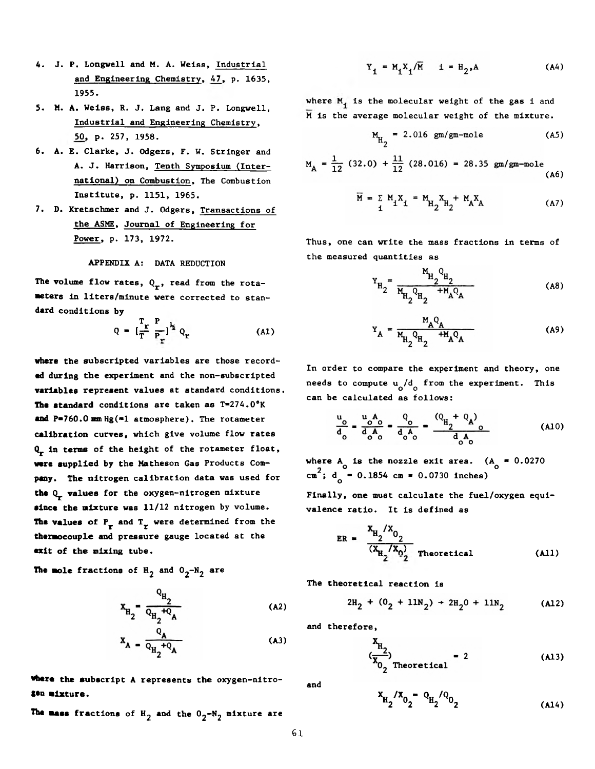- 4. J. P. Longwell and M. A. Weiss, Industrial and Engineering Chemistry, 47, p. 1635, 1955.
- 5. M. A. Weiss, R. J. Lang and J. P. Longwell, Industrial and Engineering Chemistry, 50, p. 257, 1958.
- 6. A. E. Clarke, J. Odgers, F. W. Stringer and A. J. Harrison, Tenth Symposium (International) on Combustion, The Combustion Institute, p. 1151, 1965.
- 7. D. Kretschmer and J. Odgers, Transactions of the ASME, Journal of Engineering for Power, p. 173, 1972.

## APPENDIX A: DATA REDUCTION

The volume flow rates,  $Q_r$ , read from the rotameters in liters/minute were corrected to standard conditions by

$$
Q = \left[\frac{T_r}{T} \frac{P}{P_r}\right]^{\frac{1}{2}} Q_r \tag{A1}
$$

**where** the subscripted variables are those record**ed during** the experiment and the non-subscripted **variables** represent values at standard conditions. **The standard** conditions are taken as T\*274.0®K **and** P-760.0 **mm** Hg(-1 atmosphere). The rotameter **calibration** curves, which give volume flow rates Q<sub>r</sub> in terms of the height of the rotameter float, **were** supplied by the Matheson Gas Products Com**pany.** The nitrogen calibration data was used for **the** Qj. values **for** the oxygen-nitrogen mixture **since** the mixture was 11/12 nitrogen by volume. The values of  $P_r$  and  $T_r$  were determined from the thermocouple and pressure gauge located at the **exit** of the mixing tube.

The mole fractions of  $H_2$  and  $O_2-N_2$  are

$$
x_{H_2} = \frac{Q_{H_2}}{Q_{H_2} + Q_{A}}
$$
 (A2)

$$
X_A = \frac{A}{Q_{H_2} + Q_A}
$$
 (A3)

**•here the** subscript **A** represents the oxygen-nitro-**S\*n mixture.**

**The mass fractions of**  $H_2$  **and the**  $0_2$ **-N<sub>2</sub> mixture are** 

$$
Y_{1} = M_{1}X_{1}/\overline{M} \qquad i = H_{2}, A \tag{A4}
$$

where  $M_i$  is the molecular weight of the gas i and M is the average molecular weight of the mixture.

$$
M_{H_2} = 2.016 \text{ gm/gm-mole} \tag{A5}
$$

$$
M_A = \frac{1}{12} (32.0) + \frac{11}{12} (28.016) = 28.35 \text{ gm/gm-mole}
$$
 (A6)

$$
\overline{M} = \sum_{i} M_{i} X_{i} = M_{H_{2}} X_{H_{2}} + M_{A} X_{A}
$$
 (A7)

Thus, one can write the mass fractions in terms of the measured quantities as

$$
Y_{H_2} = \frac{M_{H_2} Q_{H_2}}{M_{H_2} Q_{H_2} + M_A Q_A}
$$
 (A8)

$$
Y_{A} = \frac{M_{A}Q_{A}}{M_{H_{2}}Q_{H_{2}} + M_{A}Q_{A}}
$$
 (A9)

In order to compare the experiment and theory, one needs to compute  $u_0/d_0$  from the experiment. This can be calculated as follows:

$$
\frac{u_o}{d_o} = \frac{u_o A_o}{d_o A_o} = \frac{Q_o}{d_o A_o} = \frac{(Q_H + Q_A)}{d_o A_o}
$$
 (A10)

where A is the nozzle exit area.  $(A_0 = 0.0270$  $\texttt{cm}^{\text{-}}$ ; d<sub>o</sub> = 0.1854 cm = 0.0730 inches)

Finally, one must calculate the fuel/oxygen equivalence ratio. It is defined as

ER = 
$$
\frac{X_{H_2}/X_{O_2}}{(X_{H_2}/X_{O_2})}
$$
 Theoretical (A11)

The theoretical reaction is

$$
2H_2 + (0_2 + 11N_2) + 2H_20 + 11N_2
$$
 (A12)

and therefore,

$$
\left(\frac{X_{H_2}}{X_{O_2}}\right) = 2
$$
 (A13)

and 
$$
x_{H_2}/x_{0_2} - q_{H_2}/q_{0_2}
$$
 (A14)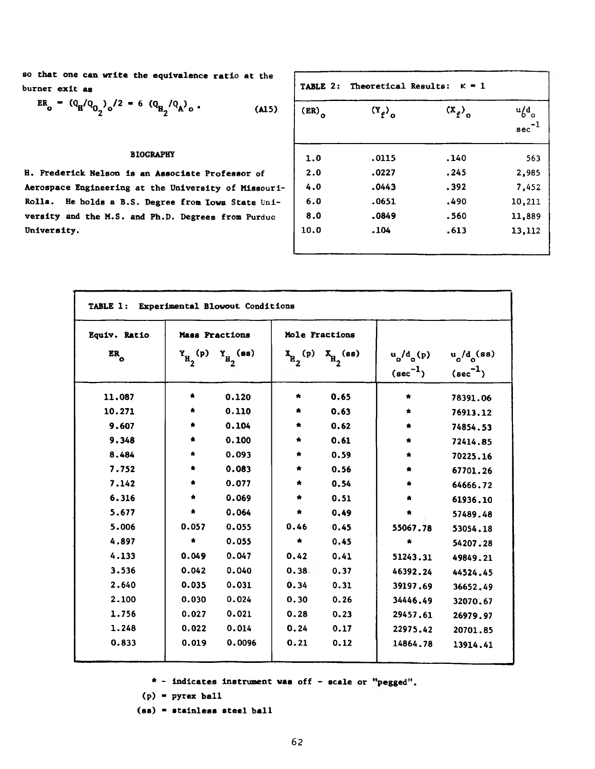**so that one can write the equivalence ratio at the burner exit as**

$$
ER_{o} = (Q_{H}/Q_{O_{2}})_{o}/2 = 6 (Q_{H_{2}}/Q_{A})_{o}
$$
 (A15)

## **BIOGRAPHY**

**H. Frederick Nelson is an Associate Professor of Aerospace Engineering at the University of Missouri-Rolla. He holds a B.S. Degree from Iowa State** Uni**versity and the M.S. and Ph.D. Degrees from Purdue University.**

| TABLE 2: |         | $\kappa = 1$<br>Theoretical Results: |                                           |  |
|----------|---------|--------------------------------------|-------------------------------------------|--|
| (ER)     | $(Y_f)$ | $(X_f)$                              | $u/d$ <sub>o</sub><br>$\mathrm{sec}^{-1}$ |  |
| 1.0      | .0115   | .140                                 | 563                                       |  |
| 2.0      | .0227   | .245                                 | 2,985                                     |  |
| 4.0      | .0443   | .392                                 | 7,452                                     |  |
| 6.0      | .0651   | .490                                 | 10,211                                    |  |
| 8.0      | .0849   | .560                                 | 11,889                                    |  |
| 10.0     | .104    | .613                                 | 13,112                                    |  |

| Equiv. Ratio<br>$ER_0$ | Mass Fractions |                | Mole Fractions                      |                |                               |                                                   |
|------------------------|----------------|----------------|-------------------------------------|----------------|-------------------------------|---------------------------------------------------|
|                        | $Y_{H_2}(p)$   | $Y_{H_2}$ (ss) | $\mathbf{x}_{\mathbf{R}_{2}}^{(p)}$ | $X_{H_2}$ (ss) | $u_o/d_o(p)$<br>$(\sec^{-1})$ | $\mathbf{u_o}/\mathbf{d_o}$ (ss)<br>$(\sec^{-1})$ |
| 11.087                 | *              | 0.120          | ŵ                                   | 0.65           | *                             | 78391.06                                          |
| 10.271                 |                | 0.110          | *                                   | 0.63           | $\bullet$                     | 76913.12                                          |
| 9.607                  |                | 0.104          | ÷.                                  | 0.62           | $\bullet$                     | 74854.53                                          |
| 9.348                  | ÷              | 0.100          | *                                   | 0.61           | *                             | 72414.85                                          |
| 8.484                  | *              | 0.093          | *                                   | 0.59           | $\star$                       | 70225.16                                          |
| 7.752                  | ŧ              | 0.083          | *                                   | 0.56           |                               | 67701.26                                          |
| 7.142                  | ÷.             | 0.077          | *                                   | 0.54           | *                             | 64666.72                                          |
| 6.316                  | ٠              | 0.069          | *                                   | 0.51           | *                             | 61936.10                                          |
| 5.677                  | $\,$           | 0.064          | *                                   | 0.49           | *                             | 57489.48                                          |
| 5.006                  | 0.057          | 0.055          | 0.46                                | 0.45           | 55067.78                      | 53054.18                                          |
| 4.897                  | $\bullet$      | 0.055          | ₩.                                  | 0.45           | *                             | 54207.28                                          |
| 4.133                  | 0.049          | 0.047          | 0.42                                | 0.41           | 51243.31                      | 49849.21                                          |
| 3.536                  | 0.042          | 0.040          | 0.38                                | 0.37           | 46392.24                      | 44524.45                                          |
| 2.640                  | 0.035          | 0.031          | 0.34                                | 0.31           | 39197.69                      | 36652.49                                          |
| 2.100                  | 0.030          | 0.024          | 0.30                                | 0.26           | 34446.49                      | 32070.67                                          |
| 1.756                  | 0.027          | 0.021          | 0.28                                | 0.23           | 29457.61                      | 26979.97                                          |
| 1.248                  | 0.022          | 0.014          | 0.24                                | 0.17           | 22975.42                      | 20701.85                                          |
| 0.833                  | 0.019          | 0.0096         | 0.21                                | 0.12           | 14864.78                      | 13914.41                                          |

\* - **indicates Instrument was** off **- scale or 'pegged".**

**(p) ■ pyrex ball**

**(ss) ■ stainless steel ball**